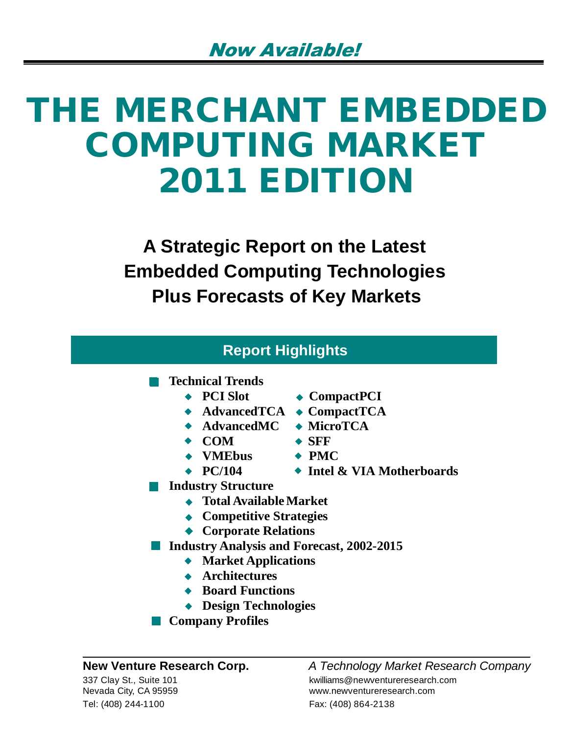# **THE MERCHANT EMBEDDED COMPUTING MARKET 2011 EDITION**

**A Strategic Report on the Latest Embedded Computing Technologies Plus Forecasts of Key Markets**

| <b>Report Highlights</b>     |                        |
|------------------------------|------------------------|
| <b>Technical Trends</b>      |                        |
| $\leftarrow$ PCI Slot        | $\triangle$ CompactPCI |
| $\blacklozenge$ Advanced TCA | $\bullet$ CompactTCA   |
| $\blacklozenge$ AdvancedMC   | • MicroTCA             |
| $\bullet$ COM                | $\bullet$ SFF          |

- **VMEbus PMC**
- 
- **PC/104 Intel & VIA Motherboards**
- **Industry Structure**
	- **Total Available Market**
	- **Competitive Strategies**
	- ◆ **Corporate Relations**
- **Industry Analysis and Forecast, 2002-2015** 
	- **Market Applications**
	- **Architectures**
	- **Board Functions**
	- **Design Technologies**
- **Company Profiles**

Tel: (408) 244-1100 Fax: (408) 864-2138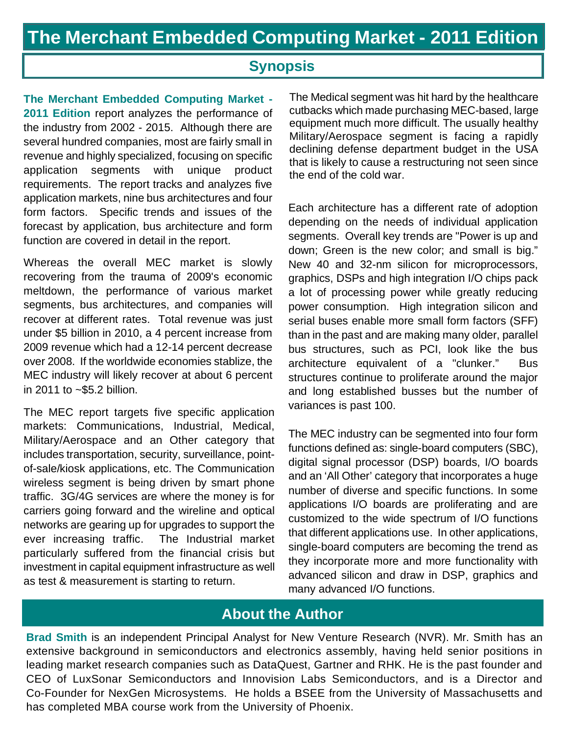# **Synopsis**

**The Merchant Embedded Computing Market - 2011 Edition** report analyzes the performance of the industry from 2002 - 2015. Although there are several hundred companies, most are fairly small in revenue and highly specialized, focusing on specific application segments with unique product requirements. The report tracks and analyzes five application markets, nine bus architectures and four form factors. Specific trends and issues of the forecast by application, bus architecture and form function are covered in detail in the report.

Whereas the overall MEC market is slowly recovering from the trauma of 2009's economic meltdown, the performance of various market segments, bus architectures, and companies will recover at different rates. Total revenue was just under \$5 billion in 2010, a 4 percent increase from 2009 revenue which had a 12-14 percent decrease over 2008. If the worldwide economies stablize, the MEC industry will likely recover at about 6 percent in 2011 to  $\approx$ \$5.2 billion.

The MEC report targets five specific application markets: Communications, Industrial, Medical, Military/Aerospace and an Other category that includes transportation, security, surveillance, pointof-sale/kiosk applications, etc. The Communication wireless segment is being driven by smart phone traffic. 3G/4G services are where the money is for carriers going forward and the wireline and optical networks are gearing up for upgrades to support the ever increasing traffic. The Industrial market particularly suffered from the financial crisis but investment in capital equipment infrastructure as well as test & measurement is starting to return.

The Medical segment was hit hard by the healthcare cutbacks which made purchasing MEC-based, large equipment much more difficult. The usually healthy Military/Aerospace segment is facing a rapidly declining defense department budget in the USA that is likely to cause a restructuring not seen since the end of the cold war.

Each architecture has a different rate of adoption depending on the needs of individual application segments. Overall key trends are "Power is up and down; Green is the new color; and small is big." New 40 and 32-nm silicon for microprocessors, graphics, DSPs and high integration I/O chips pack a lot of processing power while greatly reducing power consumption. High integration silicon and serial buses enable more small form factors (SFF) than in the past and are making many older, parallel bus structures, such as PCI, look like the bus architecture equivalent of a "clunker." Bus structures continue to proliferate around the major and long established busses but the number of variances is past 100.

The MEC industry can be segmented into four form functions defined as: single-board computers (SBC), digital signal processor (DSP) boards, I/O boards and an 'All Other' category that incorporates a huge number of diverse and specific functions. In some applications I/O boards are proliferating and are customized to the wide spectrum of I/O functions that different applications use. In other applications, single-board computers are becoming the trend as they incorporate more and more functionality with advanced silicon and draw in DSP, graphics and many advanced I/O functions.

# **About the Author**

**Brad Smith** is an independent Principal Analyst for New Venture Research (NVR). Mr. Smith has an extensive background in semiconductors and electronics assembly, having held senior positions in leading market research companies such as DataQuest, Gartner and RHK. He is the past founder and CEO of LuxSonar Semiconductors and Innovision Labs Semiconductors, and is a Director and Co-Founder for NexGen Microsystems. He holds a BSEE from the University of Massachusetts and has completed MBA course work from the University of Phoenix.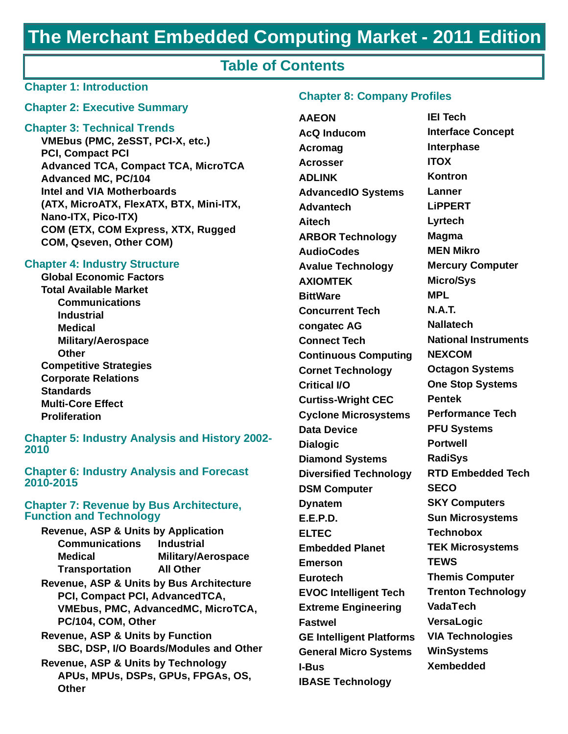# **The Merchant Embedded Computing Market - 2011 Edition**

## **Table of Contents**

#### **Chapter 1: Introduction**

#### **Chapter 2: Executive Summary**

#### **Chapter 3: Technical Trends**

**VMEbus (PMC, 2eSST, PCI-X, etc.) PCI, Compact PCI Advanced TCA, Compact TCA, MicroTCA Advanced MC, PC/104 Intel and VIA Motherboards (ATX, MicroATX, FlexATX, BTX, Mini-ITX, Nano-ITX, Pico-ITX) COM (ETX, COM Express, XTX, Rugged COM, Qseven, Other COM)**

#### **Chapter 4: Industry Structure**

**Global Economic Factors Total Available Market Communications Industrial Medical Military/Aerospace Other Competitive Strategies Corporate Relations Standards Multi-Core Effect Proliferation**

**Chapter 5: Industry Analysis and History 2002- 2010**

#### **Chapter 6: Industry Analysis and Forecast 2010-2015**

#### **Chapter 7: Revenue by Bus Architecture, Function and Technology**

| <b>Revenue, ASP &amp; Units by Application</b>                                                              |                                           |
|-------------------------------------------------------------------------------------------------------------|-------------------------------------------|
| <b>Communications</b>                                                                                       | <b>Industrial</b>                         |
| Medical                                                                                                     | <b>Military/Aerospace</b>                 |
| <b>Transportation</b>                                                                                       | <b>All Other</b>                          |
| <b>Revenue, ASP &amp; Units by Bus Architecture</b><br>PCI, Compact PCI, AdvancedTCA,<br>PC/104, COM, Other | <b>VMEbus, PMC, AdvancedMC, MicroTCA,</b> |
| <b>Revenue, ASP &amp; Units by Function</b>                                                                 | SBC, DSP, I/O Boards/Modules and Other    |
| Revenue, ASP & Units by Technology<br>Other                                                                 | APUs, MPUs, DSPs, GPUs, FPGAs, OS,        |

#### **Chapter 8: Company Profiles**

**AAEON AcQ Inducom Acromag Acrosser ADLINK AdvancedIO Systems Advantech Aitech ARBOR Technology AudioCodes Avalue Technology AXIOMTEK BittWare Concurrent Tech congatec AG Connect Tech Continuous Computing Cornet Technology Critical I/O Curtiss-Wright CEC Cyclone Microsystems Data Device Dialogic Diamond Systems Diversified Technology DSM Computer Dynatem E.E.P.D. ELTEC Embedded Planet Emerson Eurotech EVOC Intelligent Tech Extreme Engineering Fastwel GE Intelligent Platforms General Micro Systems I-Bus IBASE Technology** 

**IEI Tech Interface Concept Interphase ITOX Kontron Lanner LiPPERT Lyrtech Magma MEN Mikro Mercury Computer Micro/Sys MPL N.A.T. Nallatech National Instruments NEXCOM Octagon Systems One Stop Systems Pentek Performance Tech PFU Systems Portwell RadiSys RTD Embedded Tech SECO SKY Computers Sun Microsystems Technobox TEK Microsystems TEWS Themis Computer Trenton Technology VadaTech VersaLogic VIA Technologies WinSystems Xembedded**